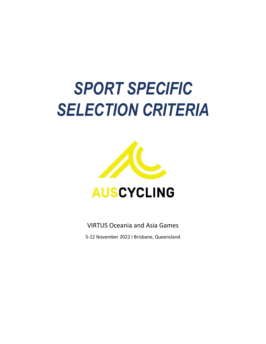# *SPORT SPECIFIC SELECTION CRITERIA*



VIRTUS Oceania and Asia Games

5-12 November 2022 I Brisbane, Queensland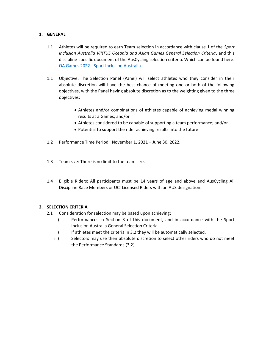#### **1. GENERAL**

- 1.1 Athletes will be required to earn Team selection in accordance with clause 1 of the *Sport Inclusion Australia VIRTUS Oceania and Asian Games General Selection Criteria*, and this discipline-specific document of the AusCycling selection criteria. Which can be found here: OA Games 2022 - [Sport Inclusion Australia](https://sportinclusionaustralia.org.au/oagames-2022/)
- 1.1 Objective: The Selection Panel (Panel) will select athletes who they consider in their absolute discretion will have the best chance of meeting one or both of the following objectives, with the Panel having absolute discretion as to the weighting given to the three objectives:
	- Athletes and/or combinations of athletes capable of achieving medal winning results at a Games; and/or
	- Athletes considered to be capable of supporting a team performance; and/or
	- Potential to support the rider achieving results into the future
- 1.2 Performance Time Period: November 1, 2021 June 30, 2022.
- 1.3 Team size: There is no limit to the team size.
- 1.4 Eligible Riders: All participants must be 14 years of age and above and AusCycling All Discipline Race Members or UCI Licensed Riders with an AUS designation.

## **2. SELECTION CRITERIA**

- 2.1 Consideration for selection may be based upon achieving:
	- i) Performances in Section 3 of this document, and in accordance with the Sport Inclusion Australia General Selection Criteria.
	- ii) If athletes meet the criteria in 3.2 they will be automatically selected.
	- iii) Selectors may use their absolute discretion to select other riders who do not meet the Performance Standards (3.2).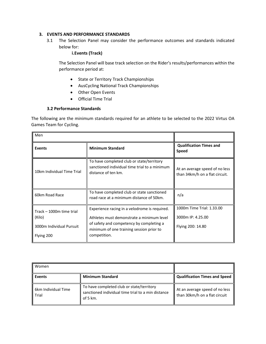## **3. EVENTS AND PERFORMANCE STANDARDS**

3.1 The Selection Panel may consider the performance outcomes and standards indicated below for:

#### **i.Events (Track)**

The Selection Panel will base track selection on the Rider's results/performances within the performance period at:

- State or Territory Track Championships
- AusCycling National Track Championships
- Other Open Events
- Official Time Trial

#### **3.2 Performance Standards**

The following are the minimum standards required for an athlete to be selected to the 2022 Virtus OA Games Team for Cycling.

| Men                                                                          |                                                                                                                                                                                                    |                                                                     |
|------------------------------------------------------------------------------|----------------------------------------------------------------------------------------------------------------------------------------------------------------------------------------------------|---------------------------------------------------------------------|
| <b>Events</b>                                                                | <b>Minimum Standard</b>                                                                                                                                                                            | <b>Qualification Times and</b><br><b>Speed</b>                      |
| 10km Individual Time Trial                                                   | To have completed club or state/territory<br>sanctioned individual time trial to a minimum<br>distance of ten km.                                                                                  | At an average speed of no less<br>than 34km/h on a flat circuit.    |
| 60km Road Race                                                               | To have completed club or state sanctioned<br>road race at a minimum distance of 50km.                                                                                                             | n/a                                                                 |
| Track - 1000m time trial<br>(Kilo)<br>3000m Individual Pursuit<br>Flying 200 | Experience racing in a velodrome is required.<br>Athletes must demonstrate a minimum level<br>of safety and competency by completing a<br>minimum of one training session prior to<br>competition. | 1000m Time Trial: 1.33.00<br>3000m IP: 4.25.00<br>Flying 200: 14.80 |

| Women                          |                                                                                                                |                                                                 |
|--------------------------------|----------------------------------------------------------------------------------------------------------------|-----------------------------------------------------------------|
| <b>Events</b>                  | <b>Minimum Standard</b>                                                                                        | <b>Qualification Times and Speed</b>                            |
| l 6km Individual Time<br>Trial | To have completed club or state/territory<br>sanctioned individual time trial to a min distance<br>of 5 $km$ . | At an average speed of no less<br>than 30km/h on a flat circuit |